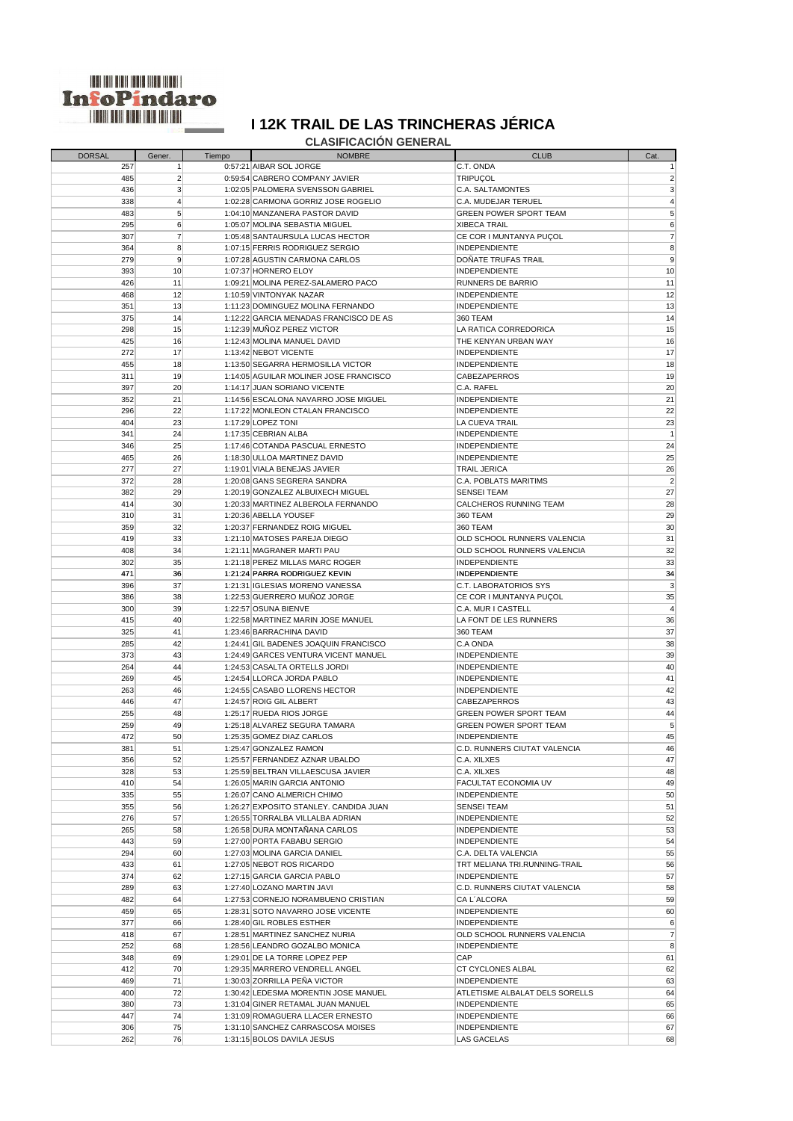

## **CLASIFICACIÓN GENERAL**

| <b>DORSAL</b> | Gener.          | Tiempo | <b>NOMBRE</b>                          | <b>CLUB</b>                         | Cat.            |
|---------------|-----------------|--------|----------------------------------------|-------------------------------------|-----------------|
| 257           | 1               |        | 0:57:21 AIBAR SOL JORGE                | C.T. ONDA                           | $\mathbf{1}$    |
|               |                 |        | 0:59:54 CABRERO COMPANY JAVIER         |                                     |                 |
| 485           | $\overline{2}$  |        |                                        | <b>TRIPUÇOL</b>                     | $\overline{2}$  |
| 436           | 3               |        | 1:02:05 PALOMERA SVENSSON GABRIEL      | <b>C.A. SALTAMONTES</b>             | 3               |
| 338           | 4               |        | 1:02:28 CARMONA GORRIZ JOSE ROGELIO    | <b>C.A. MUDEJAR TERUEL</b>          | $\overline{4}$  |
| 483           | 5               |        | 1:04:10 MANZANERA PASTOR DAVID         | <b>GREEN POWER SPORT TEAM</b>       | $5\overline{)}$ |
| 295           | 6               |        | 1:05:07 MOLINA SEBASTIA MIGUEL         | <b>XIBECA TRAIL</b>                 | $6 \,$          |
|               |                 |        |                                        |                                     |                 |
| 307           | $\overline{7}$  |        | 1:05:48 SANTAURSULA LUCAS HECTOR       | CE COR I MUNTANYA PUÇOL             | $\overline{7}$  |
| 364           | 8               |        | 1:07:15 FERRIS RODRIGUEZ SERGIO        | <b>INDEPENDIENTE</b>                | 8               |
| 279           | 9               |        | 1:07:28 AGUSTIN CARMONA CARLOS         | <b>DOÑATE TRUFAS TRAIL</b>          | 9               |
| 393           | 10              |        | 1:07:37 HORNERO ELOY                   | INDEPENDIENTE                       | 10              |
| 426           | 11              |        | 1:09:21 MOLINA PEREZ-SALAMERO PACO     | <b>RUNNERS DE BARRIO</b>            | 11              |
|               |                 |        |                                        |                                     |                 |
| 468           | 12              |        | 1:10:59 VINTONYAK NAZAR                | <b>INDEPENDIENTE</b>                | 12              |
| 351           | 13              |        | 1:11:23 DOMINGUEZ MOLINA FERNANDO      | <b>INDEPENDIENTE</b>                | 13              |
| 375           | 14              |        | 1:12:22 GARCIA MENADAS FRANCISCO DE AS | 360 TEAM                            | 14              |
| 298           | 15              |        | 1:12:39 MUÑOZ PEREZ VICTOR             | LA RATICA CORREDORICA               | 15              |
| 425           | 16              |        | 1:12:43 MOLINA MANUEL DAVID            | THE KENYAN URBAN WAY                | 16              |
|               |                 |        |                                        |                                     |                 |
| 272           | 17              |        | 1:13:42 NEBOT VICENTE                  | <b>INDEPENDIENTE</b>                | 17              |
| 455           | 18              |        | 1:13:50 SEGARRA HERMOSILLA VICTOR      | <b>INDEPENDIENTE</b>                | 18              |
| 311           | 19              |        | 1:14:05 AGUILAR MOLINER JOSE FRANCISCO | <b>CABEZAPERROS</b>                 | 19              |
| 397           | 20 <sup>°</sup> |        | 1:14:17 JUAN SORIANO VICENTE           | C.A. RAFEL                          | 20              |
| 352           | 21              |        | 1:14:56 ESCALONA NAVARRO JOSE MIGUEL   | <b>INDEPENDIENTE</b>                | 21              |
|               |                 |        |                                        |                                     |                 |
| 296           | 22              |        | 1:17:22 MONLEON CTALAN FRANCISCO       | <b>INDEPENDIENTE</b>                | 22              |
| 404           | 23              |        | 1:17:29 LOPEZ TONI                     | LA CUEVA TRAIL                      | 23              |
| 341           | 24              |        | 1:17:35 CEBRIAN ALBA                   | <b>INDEPENDIENTE</b>                | $\vert$ 1       |
| 346           | 25              |        | 1:17:46 COTANDA PASCUAL ERNESTO        | <b>INDEPENDIENTE</b>                | 24              |
| 465           | 26              |        | 1:18:30 ULLOA MARTINEZ DAVID           | <b>INDEPENDIENTE</b>                | 25              |
|               |                 |        |                                        |                                     |                 |
| 277           | 27              |        | 1:19:01 VIALA BENEJAS JAVIER           | <b>TRAIL JERICA</b>                 | 26              |
| 372           | 28              |        | 1:20:08 GANS SEGRERA SANDRA            | <b>C.A. POBLATS MARITIMS</b>        | $\overline{2}$  |
| 382           | 29              |        | 1:20:19 GONZALEZ ALBUIXECH MIGUEL      | <b>SENSEI TEAM</b>                  | 27              |
| 414           | 30              |        | 1:20:33 MARTINEZ ALBEROLA FERNANDO     | CALCHEROS RUNNING TEAM              | 28              |
|               |                 |        |                                        |                                     |                 |
| 310           | 31              |        | 1:20:36 ABELLA YOUSEF                  | 360 TEAM                            | 29              |
| 359           | 32              |        | 1:20:37 FERNANDEZ ROIG MIGUEL          | 360 TEAM                            | 30              |
| 419           | 33              |        | 1:21:10 MATOSES PAREJA DIEGO           | OLD SCHOOL RUNNERS VALENCIA         | 31              |
| 408           | 34              |        | 1:21:11 MAGRANER MARTI PAU             | OLD SCHOOL RUNNERS VALENCIA         | 32              |
| 302           | 35              |        | 1:21:18 PEREZ MILLAS MARC ROGER        | <b>INDEPENDIENTE</b>                | 33              |
|               |                 |        |                                        |                                     |                 |
| 471           | 36              |        | 1:21:24 PARRA RODRIGUEZ KEVIN          | <b>INDEPENDIENTE</b>                | 34              |
| 396           | 37              |        | 1:21:31 IGLESIAS MORENO VANESSA        | <b>C.T. LABORATORIOS SYS</b>        | 3               |
| 386           | 38              |        | 1:22:53 GUERRERO MUÑOZ JORGE           | CE COR I MUNTANYA PUÇOL             | 35              |
| 300           | 39              |        | 1:22:57 OSUNA BIENVE                   | C.A. MUR I CASTELL                  | $\overline{4}$  |
| 415           | 40              |        | 1:22:58 MARTINEZ MARIN JOSE MANUEL     | LA FONT DE LES RUNNERS              | 36              |
|               |                 |        |                                        |                                     |                 |
| 325           | 41              |        | 1:23:46 BARRACHINA DAVID               | 360 TEAM                            | 37              |
| 285           | 42              |        | 1:24:41 GIL BADENES JOAQUIN FRANCISCO  | C.A ONDA                            | 38              |
| 373           | 43              |        | 1:24:49 GARCES VENTURA VICENT MANUEL   | <b>INDEPENDIENTE</b>                | 39              |
| 264           | 44              |        | 1:24:53 CASALTA ORTELLS JORDI          | <b>INDEPENDIENTE</b>                | 40              |
| 269           | 45              |        | 1:24:54 LLORCA JORDA PABLO             | <b>INDEPENDIENTE</b>                | 41              |
|               |                 |        |                                        |                                     |                 |
| 263           | 46              |        | 1:24:55 CASABO LLORENS HECTOR          | <b>INDEPENDIENTE</b>                | 42              |
| 446           | 47              |        | 1:24:57 ROIG GIL ALBERT                | <b>CABEZAPERROS</b>                 | 43              |
| 255           | 48              |        | 1:25:17 RUEDA RIOS JORGE               | <b>GREEN POWER SPORT TEAM</b>       | 44              |
| 259           | 49              |        | 1:25:18 ALVAREZ SEGURA TAMARA          | <b>GREEN POWER SPORT TEAM</b>       | $5\overline{)}$ |
| 472           | 50              |        | 1:25:35 GOMEZ DIAZ CARLOS              | <b>INDEPENDIENTE</b>                | 45              |
|               |                 |        |                                        |                                     |                 |
| 381           | 51              |        | 1:25:47 GONZALEZ RAMON                 | <b>C.D. RUNNERS CIUTAT VALENCIA</b> | 46              |
| 356           | 52              |        | 1:25:57 FERNANDEZ AZNAR UBALDO         | C.A. XILXES                         | 47              |
| 328           | 53              |        | 1:25:59 BELTRAN VILLAESCUSA JAVIER     | C.A. XILXES                         | 48              |
| 410           | 54              |        | 1:26:05 MARIN GARCIA ANTONIO           | <b>FACULTAT ECONOMIA UV</b>         | 49              |
|               |                 |        |                                        |                                     |                 |
| 335           | 55              |        | 1:26:07 CANO ALMERICH CHIMO            | <b>INDEPENDIENTE</b>                | 50              |
| 355           | 56              |        | 1:26:27 EXPOSITO STANLEY. CANDIDA JUAN | <b>SENSEI TEAM</b>                  | 51              |
| 276           | 57              |        | 1:26:55 TORRALBA VILLALBA ADRIAN       | <b>INDEPENDIENTE</b>                | 52              |
| 265           | 58              |        | 1:26:58 DURA MONTAÑANA CARLOS          | <b>INDEPENDIENTE</b>                | 53              |
| 443           | 59              |        | 1:27:00 PORTA FABABU SERGIO            | <b>INDEPENDIENTE</b>                | 54              |
|               |                 |        |                                        |                                     |                 |
| 294           | 60              |        | 1:27:03 MOLINA GARCIA DANIEL           | C.A. DELTA VALENCIA                 | 55              |
| 433           | 61              |        | 1:27:05 NEBOT ROS RICARDO              | TRT MELIANA TRI.RUNNING-TRAIL       | 56              |
| 374           | 62              |        | 1:27:15 GARCIA GARCIA PABLO            | <b>INDEPENDIENTE</b>                | 57              |
| 289           | 63              |        | 1:27:40 LOZANO MARTIN JAVI             | C.D. RUNNERS CIUTAT VALENCIA        | 58              |
| 482           | 64              |        | 1:27:53 CORNEJO NORAMBUENO CRISTIAN    | CA L'ALCORA                         | 59              |
|               |                 |        |                                        |                                     |                 |
| 459           | 65              |        | 1:28:31 SOTO NAVARRO JOSE VICENTE      | <b>INDEPENDIENTE</b>                | 60              |
| 377           | 66              |        | 1:28:40 GIL ROBLES ESTHER              | <b>INDEPENDIENTE</b>                | 6               |
| 418           | 67              |        | 1:28:51 MARTINEZ SANCHEZ NURIA         | OLD SCHOOL RUNNERS VALENCIA         | $\overline{7}$  |
| 252           | 68              |        | 1:28:56 LEANDRO GOZALBO MONICA         | <b>INDEPENDIENTE</b>                | 8               |
|               |                 |        | 1:29:01 DE LA TORRE LOPEZ PEP          |                                     |                 |
| 348           | 69              |        |                                        | <b>CAP</b>                          | 61              |
| 412           | 70              |        | 1:29:35 MARRERO VENDRELL ANGEL         | <b>CT CYCLONES ALBAL</b>            | 62              |
| 469           | 71              |        | 1:30:03 ZORRILLA PEÑA VICTOR           | <b>INDEPENDIENTE</b>                | 63              |
| 400           | 72              |        | 1:30:42 LEDESMA MORENTIN JOSE MANUEL   | ATLETISME ALBALAT DELS SORELLS      | 64              |
| 380           | 73              |        | 1:31:04 GINER RETAMAL JUAN MANUEL      | <b>INDEPENDIENTE</b>                | 65              |
|               |                 |        |                                        |                                     |                 |
| 447           | 74              |        | 1:31:09 ROMAGUERA LLACER ERNESTO       | <b>INDEPENDIENTE</b>                | 66              |
| 306           | 75              |        | 1:31:10 SANCHEZ CARRASCOSA MOISES      | <b>INDEPENDIENTE</b>                | 67              |
| 262           | 76              |        | 1:31:15 BOLOS DAVILA JESUS             | <b>LAS GACELAS</b>                  | 68              |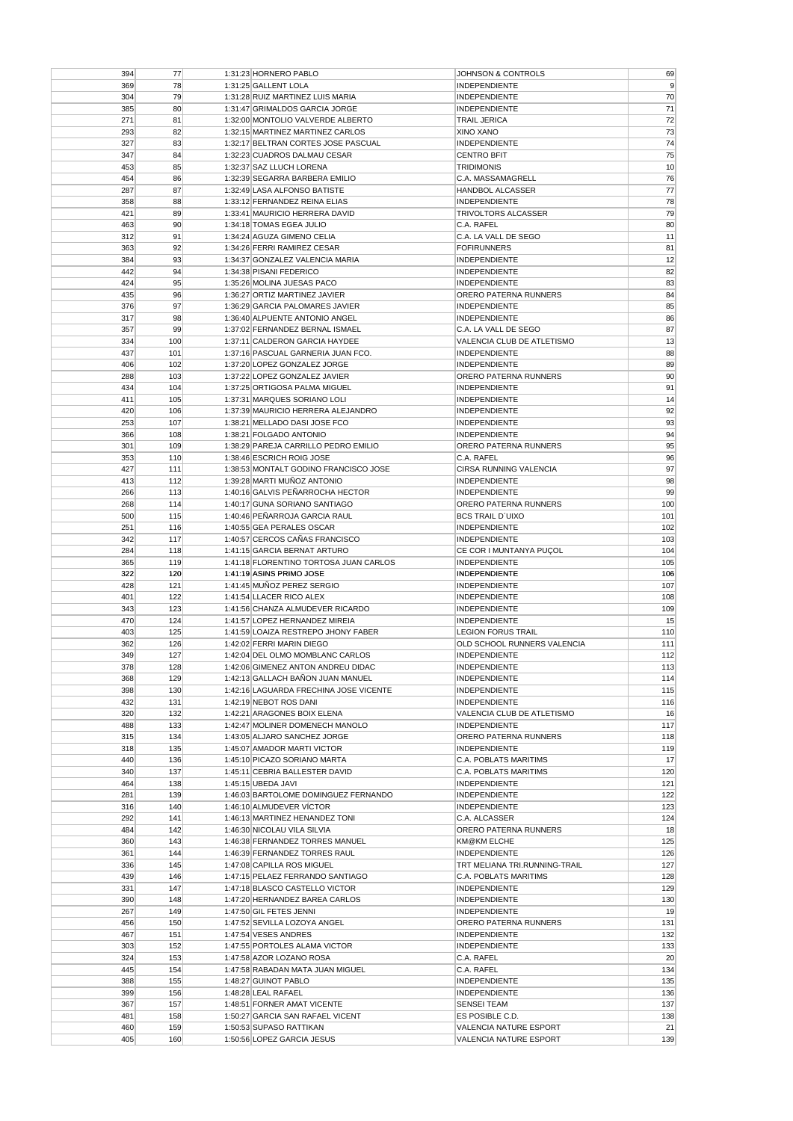| 394        | 77         | 1:31:23 HORNERO PABLO                                 | JOHNSON & CONTROLS                               | 69                                                                                                                                   |
|------------|------------|-------------------------------------------------------|--------------------------------------------------|--------------------------------------------------------------------------------------------------------------------------------------|
| 369        | 78         | 1:31:25 GALLENT LOLA                                  | <b>INDEPENDIENTE</b>                             | 9                                                                                                                                    |
| 304        | 79         | 1:31:28 RUIZ MARTINEZ LUIS MARIA                      | <b>INDEPENDIENTE</b>                             | 70                                                                                                                                   |
|            |            |                                                       |                                                  |                                                                                                                                      |
| 385        | 80         | 1:31:47 GRIMALDOS GARCIA JORGE                        | <b>INDEPENDIENTE</b>                             | 71                                                                                                                                   |
| 271        | 81         | 1:32:00 MONTOLIO VALVERDE ALBERTO                     | TRAIL JERICA                                     | 72                                                                                                                                   |
| 293        | 82         | 1:32:15 MARTINEZ MARTINEZ CARLOS                      | XINO XANO                                        | 73                                                                                                                                   |
| 327        | 83         | 1:32:17 BELTRAN CORTES JOSE PASCUAL                   | INDEPENDIENTE                                    | 74                                                                                                                                   |
| 347        | 84         | 1:32:23 CUADROS DALMAU CESAR                          | <b>CENTRO BFIT</b>                               | 75                                                                                                                                   |
|            |            |                                                       |                                                  |                                                                                                                                      |
| 453        | 85         | 1:32:37 SAZ LLUCH LORENA                              | TRIDIMONIS                                       | 10                                                                                                                                   |
| 454        | 86         | 1:32:39 SEGARRA BARBERA EMILIO                        | C.A. MASSAMAGRELL                                | 76                                                                                                                                   |
| 287        | 87         | 1:32:49 LASA ALFONSO BATISTE                          | <b>HANDBOL ALCASSER</b>                          | 77                                                                                                                                   |
| 358        | 88         | 1:33:12 FERNANDEZ REINA ELIAS                         | <b>INDEPENDIENTE</b>                             | 78                                                                                                                                   |
| 421        | 89         | 1:33:41 MAURICIO HERRERA DAVID                        | <b>TRIVOLTORS ALCASSER</b>                       | 79                                                                                                                                   |
| 463        | 90         | 1:34:18 TOMAS EGEA JULIO                              | C.A. RAFEL                                       | 80                                                                                                                                   |
|            |            |                                                       |                                                  |                                                                                                                                      |
| 312        | 91         | 1:34:24 AGUZA GIMENO CELIA                            | C.A. LA VALL DE SEGO                             | 11                                                                                                                                   |
| 363        | 92         | 1:34:26 FERRI RAMIREZ CESAR                           | <b>FOFIRUNNERS</b>                               | 81                                                                                                                                   |
| 384        | 93         | 1:34:37 GONZALEZ VALENCIA MARIA                       | INDEPENDIENTE                                    | 12                                                                                                                                   |
| 442        | 94         | 1:34:38 PISANI FEDERICO                               | <b>INDEPENDIENTE</b>                             | 82                                                                                                                                   |
| 424        | 95         | 1:35:26 MOLINA JUESAS PACO                            | <b>INDEPENDIENTE</b>                             | 83                                                                                                                                   |
| 435        | 96         | 1:36:27 ORTIZ MARTINEZ JAVIER                         | ORERO PATERNA RUNNERS                            | 84                                                                                                                                   |
|            |            |                                                       |                                                  |                                                                                                                                      |
| 376        | 97         | 1:36:29 GARCIA PALOMARES JAVIER                       | <b>INDEPENDIENTE</b>                             | 85                                                                                                                                   |
| 317        | 98         | 1:36:40 ALPUENTE ANTONIO ANGEL                        | <b>INDEPENDIENTE</b>                             | 86                                                                                                                                   |
| 357        | 99         | 1:37:02 FERNANDEZ BERNAL ISMAEL                       | C.A. LA VALL DE SEGO                             | 87                                                                                                                                   |
| 334        | 100        | 1:37:11 CALDERON GARCIA HAYDEE                        | VALENCIA CLUB DE ATLETISMO                       | 13                                                                                                                                   |
| 437        | 101        | 1:37:16 PASCUAL GARNERIA JUAN FCO.                    | <b>INDEPENDIENTE</b>                             | 88                                                                                                                                   |
|            |            |                                                       |                                                  |                                                                                                                                      |
| 406        | 102        | 1:37:20 LOPEZ GONZALEZ JORGE                          | <b>INDEPENDIENTE</b>                             | 89                                                                                                                                   |
| 288        | 103        | 1:37:22 LOPEZ GONZALEZ JAVIER                         | ORERO PATERNA RUNNERS                            | 90 <sup>°</sup>                                                                                                                      |
| 434        | 104        | 1:37:25 ORTIGOSA PALMA MIGUEL                         | <b>INDEPENDIENTE</b>                             | 91                                                                                                                                   |
| 411        | 105        | 1:37:31 MARQUES SORIANO LOLI                          | <b>INDEPENDIENTE</b>                             | 14                                                                                                                                   |
| 420        | 106        | 1:37:39 MAURICIO HERRERA ALEJANDRO                    | <b>INDEPENDIENTE</b>                             | 92                                                                                                                                   |
| 253        | 107        | 1:38:21 MELLADO DASI JOSE FCO                         | <b>INDEPENDIENTE</b>                             | 93                                                                                                                                   |
|            |            |                                                       |                                                  |                                                                                                                                      |
| 366        | 108        | 1:38:21 FOLGADO ANTONIO                               | <b>INDEPENDIENTE</b>                             | 94                                                                                                                                   |
| 301        | 109        | 1:38:29 PAREJA CARRILLO PEDRO EMILIO                  | ORERO PATERNA RUNNERS                            | 95                                                                                                                                   |
| 353        | 110        | 1:38:46 ESCRICH ROIG JOSE                             | C.A. RAFEL                                       | 96                                                                                                                                   |
| 427        | 111        | 1:38:53 MONTALT GODINO FRANCISCO JOSE                 | CIRSA RUNNING VALENCIA                           | 97                                                                                                                                   |
| 413        | 112        | 1:39:28 MARTI MUÑOZ ANTONIO                           | <b>INDEPENDIENTE</b>                             | 98                                                                                                                                   |
|            |            |                                                       |                                                  |                                                                                                                                      |
| 266        | 113        | 1:40:16 GALVIS PEÑARROCHA HECTOR                      | <b>INDEPENDIENTE</b>                             | 99                                                                                                                                   |
| 268        | 114        | 1:40:17 GUNA SORIANO SANTIAGO                         | ORERO PATERNA RUNNERS                            | 100                                                                                                                                  |
| 500        | 115        | 1:40:46 PEÑARROJA GARCIA RAUL                         | <b>BCS TRAIL D'UIXO</b>                          | 101                                                                                                                                  |
| 251        | 116        | 1:40:55 GEA PERALES OSCAR                             | <b>INDEPENDIENTE</b>                             | 102                                                                                                                                  |
| 342        | 117        | 1:40:57 CERCOS CAÑAS FRANCISCO                        | <b>INDEPENDIENTE</b>                             | 103                                                                                                                                  |
| 284        | 118        | 1:41:15 GARCIA BERNAT ARTURO                          | CE COR I MUNTANYA PUÇOL                          | 104                                                                                                                                  |
|            |            |                                                       |                                                  |                                                                                                                                      |
| 365        | 119        | 1:41:18 FLORENTINO TORTOSA JUAN CARLOS                | <b>INDEPENDIENTE</b>                             | 105                                                                                                                                  |
| 322        | 120        | 1:41:19 ASINS PRIMO JOSE                              | <b>INDEPENDIENTE</b>                             | 106                                                                                                                                  |
| 428        | 121        | 1:41:45 MUÑOZ PEREZ SERGIO                            | <b>INDEPENDIENTE</b>                             | 107                                                                                                                                  |
| 401        | 122        | 1:41:54 LLACER RICO ALEX                              | <b>INDEPENDIENTE</b>                             | 108                                                                                                                                  |
| 343        | 123        | 1:41:56 CHANZA ALMUDEVER RICARDO                      | <b>INDEPENDIENTE</b>                             | 109                                                                                                                                  |
| 470        | 124        | 1:41:57 LOPEZ HERNANDEZ MIREIA                        | <b>INDEPENDIENTE</b>                             | 15                                                                                                                                   |
|            |            |                                                       |                                                  |                                                                                                                                      |
| 403        | 125        | 1:41:59 LOAIZA RESTREPO JHONY FABER                   | <b>LEGION FORUS TRAIL</b>                        | 110                                                                                                                                  |
| 362        | 126        | 1:42:02 FERRI MARIN DIEGO                             | OLD SCHOOL RUNNERS VALENCIA                      | 111                                                                                                                                  |
| 349        | 127        | 1:42:04 DEL OLMO MOMBLANC CARLOS                      | <b>INDEPENDIENTE</b>                             | 112                                                                                                                                  |
| 378        | 128        | 1:42:06 GIMENEZ ANTON ANDREU DIDAC                    | <b>INDEPENDIENTE</b>                             | 113                                                                                                                                  |
| 368        | 129        | 1:42:13 GALLACH BAÑON JUAN MANUEL                     | <b>INDEPENDIENTE</b>                             | 114                                                                                                                                  |
|            |            |                                                       |                                                  |                                                                                                                                      |
| 398        | 130        | 1:42:16 LAGUARDA FRECHINA JOSE VICENTE                | <b>INDEPENDIENTE</b>                             | 115                                                                                                                                  |
| 432        | 131        | 1:42:19 NEBOT ROS DANI                                | <b>INDEPENDIENTE</b>                             | 116                                                                                                                                  |
| 320        | 132        | 1:42:21 ARAGONES BOIX ELENA                           | VALENCIA CLUB DE ATLETISMO                       | 16                                                                                                                                   |
| 488        | 133        | 1:42:47 MOLINER DOMENECH MANOLO                       | <b>INDEPENDIENTE</b>                             | 117                                                                                                                                  |
| 315        | 134        | 1:43:05 ALJARO SANCHEZ JORGE                          | ORERO PATERNA RUNNERS                            | 118                                                                                                                                  |
| 318        | 135        | 1:45:07 AMADOR MARTI VICTOR                           |                                                  |                                                                                                                                      |
|            |            |                                                       |                                                  |                                                                                                                                      |
|            |            |                                                       | INDEPENDIENTE                                    |                                                                                                                                      |
| 440        | 136        | 1:45:10 PICAZO SORIANO MARTA                          | C.A. POBLATS MARITIMS                            | 119<br>17                                                                                                                            |
| 340        | 137        | 1:45:11 CEBRIA BALLESTER DAVID                        | <b>C.A. POBLATS MARITIMS</b>                     |                                                                                                                                      |
| 464        | 138        | 1:45:15 UBEDA JAVI                                    | <b>INDEPENDIENTE</b>                             |                                                                                                                                      |
| 281        | 139        | 1:46:03 BARTOLOME DOMINGUEZ FERNANDO                  | <b>INDEPENDIENTE</b>                             |                                                                                                                                      |
| 316        | 140        | 1:46:10 ALMUDEVER VÍCTOR                              | <b>INDEPENDIENTE</b>                             |                                                                                                                                      |
|            |            |                                                       |                                                  |                                                                                                                                      |
| 292        | 141        | 1:46:13 MARTINEZ HENANDEZ TONI                        | C.A. ALCASSER                                    |                                                                                                                                      |
| 484        | 142        | 1:46:30 NICOLAU VILA SILVIA                           | ORERO PATERNA RUNNERS                            |                                                                                                                                      |
| 360        | 143        | 1:46:38 FERNANDEZ TORRES MANUEL                       | KM@KM ELCHE                                      |                                                                                                                                      |
| 361        | 144        | 1:46:39 FERNANDEZ TORRES RAUL                         | <b>INDEPENDIENTE</b>                             |                                                                                                                                      |
| 336        | 145        | 1:47:08 CAPILLA ROS MIGUEL                            | TRT MELIANA TRI.RUNNING-TRAIL                    |                                                                                                                                      |
| 439        | 146        | 1:47:15 PELAEZ FERRANDO SANTIAGO                      | C.A. POBLATS MARITIMS                            |                                                                                                                                      |
|            |            |                                                       |                                                  |                                                                                                                                      |
| 331        | 147        | 1:47:18 BLASCO CASTELLO VICTOR                        | <b>INDEPENDIENTE</b>                             |                                                                                                                                      |
| 390        | 148        | 1:47:20 HERNANDEZ BAREA CARLOS                        | <b>INDEPENDIENTE</b>                             |                                                                                                                                      |
| 267        | 149        | 1:47:50 GIL FETES JENNI                               | INDEPENDIENTE                                    |                                                                                                                                      |
| 456        | 150        | 1:47:52 SEVILLA LOZOYA ANGEL                          | ORERO PATERNA RUNNERS                            |                                                                                                                                      |
| 467        | 151        | 1:47:54 VESES ANDRES                                  | <b>INDEPENDIENTE</b>                             |                                                                                                                                      |
| 303        | 152        | 1:47:55 PORTOLES ALAMA VICTOR                         | <b>INDEPENDIENTE</b>                             |                                                                                                                                      |
|            |            |                                                       |                                                  |                                                                                                                                      |
| 324        | 153        | 1:47:58 AZOR LOZANO ROSA                              | C.A. RAFEL                                       |                                                                                                                                      |
| 445        | 154        | 1:47:58 RABADAN MATA JUAN MIGUEL                      | C.A. RAFEL                                       | 120<br>121<br>122<br>123<br>124<br>18<br>125<br>126<br>127<br>128<br>129<br>130<br>19<br>131<br>132<br>133<br>20 <sup>2</sup><br>134 |
| 388        | 155        | 1:48:27 GUINOT PABLO                                  | <b>INDEPENDIENTE</b>                             | 135                                                                                                                                  |
| 399        | 156        | 1:48:28 LEAL RAFAEL                                   | <b>INDEPENDIENTE</b>                             | 136                                                                                                                                  |
| 367        | 157        | 1:48:51 FORNER AMAT VICENTE                           | <b>SENSEI TEAM</b>                               |                                                                                                                                      |
| 481        | 158        | 1:50:27 GARCIA SAN RAFAEL VICENT                      | ES POSIBLE C.D.                                  |                                                                                                                                      |
|            |            |                                                       |                                                  | 137<br>138                                                                                                                           |
| 460<br>405 | 159<br>160 | 1:50:53 SUPASO RATTIKAN<br>1:50:56 LOPEZ GARCIA JESUS | VALENCIA NATURE ESPORT<br>VALENCIA NATURE ESPORT | 21<br>139                                                                                                                            |